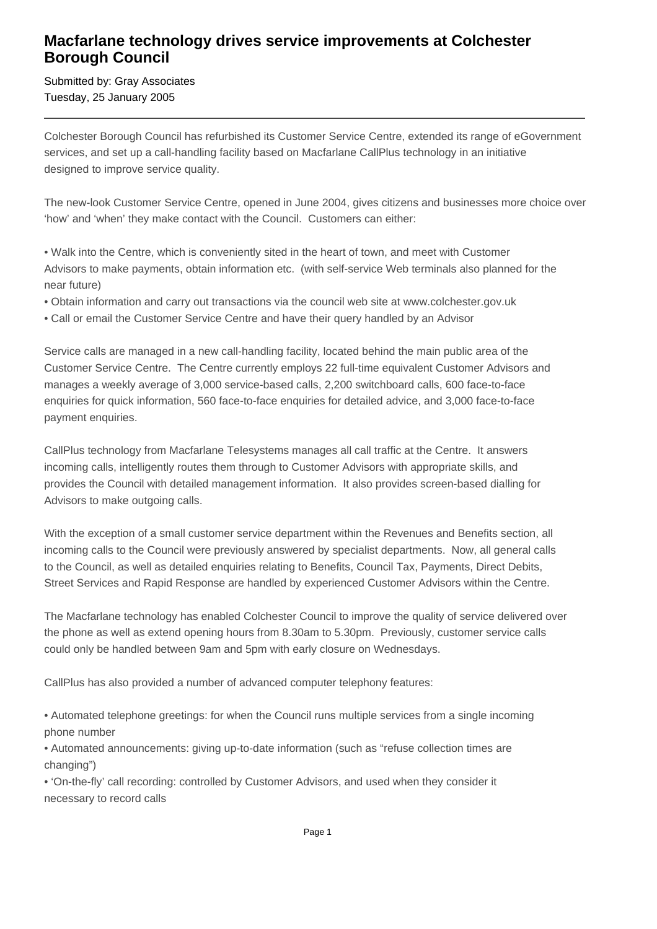## **Macfarlane technology drives service improvements at Colchester Borough Council**

Submitted by: Gray Associates Tuesday, 25 January 2005

Colchester Borough Council has refurbished its Customer Service Centre, extended its range of eGovernment services, and set up a call-handling facility based on Macfarlane CallPlus technology in an initiative designed to improve service quality.

The new-look Customer Service Centre, opened in June 2004, gives citizens and businesses more choice over 'how' and 'when' they make contact with the Council. Customers can either:

• Walk into the Centre, which is conveniently sited in the heart of town, and meet with Customer Advisors to make payments, obtain information etc. (with self-service Web terminals also planned for the near future)

- Obtain information and carry out transactions via the council web site at www.colchester.gov.uk
- Call or email the Customer Service Centre and have their query handled by an Advisor

Service calls are managed in a new call-handling facility, located behind the main public area of the Customer Service Centre. The Centre currently employs 22 full-time equivalent Customer Advisors and manages a weekly average of 3,000 service-based calls, 2,200 switchboard calls, 600 face-to-face enquiries for quick information, 560 face-to-face enquiries for detailed advice, and 3,000 face-to-face payment enquiries.

CallPlus technology from Macfarlane Telesystems manages all call traffic at the Centre. It answers incoming calls, intelligently routes them through to Customer Advisors with appropriate skills, and provides the Council with detailed management information. It also provides screen-based dialling for Advisors to make outgoing calls.

With the exception of a small customer service department within the Revenues and Benefits section, all incoming calls to the Council were previously answered by specialist departments. Now, all general calls to the Council, as well as detailed enquiries relating to Benefits, Council Tax, Payments, Direct Debits, Street Services and Rapid Response are handled by experienced Customer Advisors within the Centre.

The Macfarlane technology has enabled Colchester Council to improve the quality of service delivered over the phone as well as extend opening hours from 8.30am to 5.30pm. Previously, customer service calls could only be handled between 9am and 5pm with early closure on Wednesdays.

CallPlus has also provided a number of advanced computer telephony features:

• Automated telephone greetings: for when the Council runs multiple services from a single incoming phone number

• Automated announcements: giving up-to-date information (such as "refuse collection times are changing")

• 'On-the-fly' call recording: controlled by Customer Advisors, and used when they consider it necessary to record calls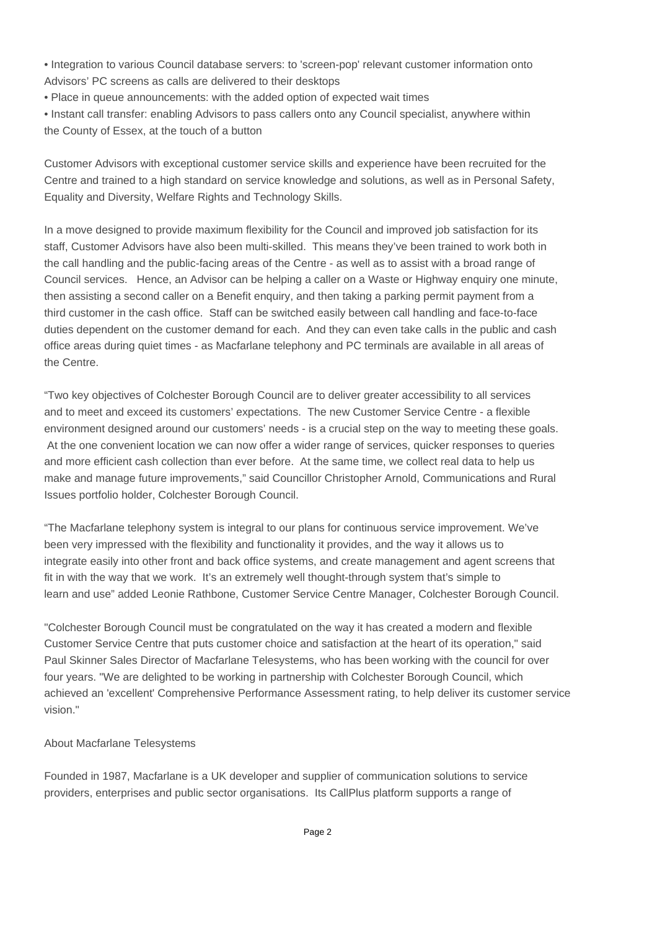• Integration to various Council database servers: to 'screen-pop' relevant customer information onto Advisors' PC screens as calls are delivered to their desktops

• Place in queue announcements: with the added option of expected wait times

• Instant call transfer: enabling Advisors to pass callers onto any Council specialist, anywhere within the County of Essex, at the touch of a button

Customer Advisors with exceptional customer service skills and experience have been recruited for the Centre and trained to a high standard on service knowledge and solutions, as well as in Personal Safety, Equality and Diversity, Welfare Rights and Technology Skills.

In a move designed to provide maximum flexibility for the Council and improved job satisfaction for its staff, Customer Advisors have also been multi-skilled. This means they've been trained to work both in the call handling and the public-facing areas of the Centre - as well as to assist with a broad range of Council services. Hence, an Advisor can be helping a caller on a Waste or Highway enquiry one minute, then assisting a second caller on a Benefit enquiry, and then taking a parking permit payment from a third customer in the cash office. Staff can be switched easily between call handling and face-to-face duties dependent on the customer demand for each. And they can even take calls in the public and cash office areas during quiet times - as Macfarlane telephony and PC terminals are available in all areas of the Centre.

"Two key objectives of Colchester Borough Council are to deliver greater accessibility to all services and to meet and exceed its customers' expectations. The new Customer Service Centre - a flexible environment designed around our customers' needs - is a crucial step on the way to meeting these goals. At the one convenient location we can now offer a wider range of services, quicker responses to queries and more efficient cash collection than ever before. At the same time, we collect real data to help us make and manage future improvements," said Councillor Christopher Arnold, Communications and Rural Issues portfolio holder, Colchester Borough Council.

"The Macfarlane telephony system is integral to our plans for continuous service improvement. We've been very impressed with the flexibility and functionality it provides, and the way it allows us to integrate easily into other front and back office systems, and create management and agent screens that fit in with the way that we work. It's an extremely well thought-through system that's simple to learn and use" added Leonie Rathbone, Customer Service Centre Manager, Colchester Borough Council.

"Colchester Borough Council must be congratulated on the way it has created a modern and flexible Customer Service Centre that puts customer choice and satisfaction at the heart of its operation," said Paul Skinner Sales Director of Macfarlane Telesystems, who has been working with the council for over four years. "We are delighted to be working in partnership with Colchester Borough Council, which achieved an 'excellent' Comprehensive Performance Assessment rating, to help deliver its customer service vision."

## About Macfarlane Telesystems

Founded in 1987, Macfarlane is a UK developer and supplier of communication solutions to service providers, enterprises and public sector organisations. Its CallPlus platform supports a range of